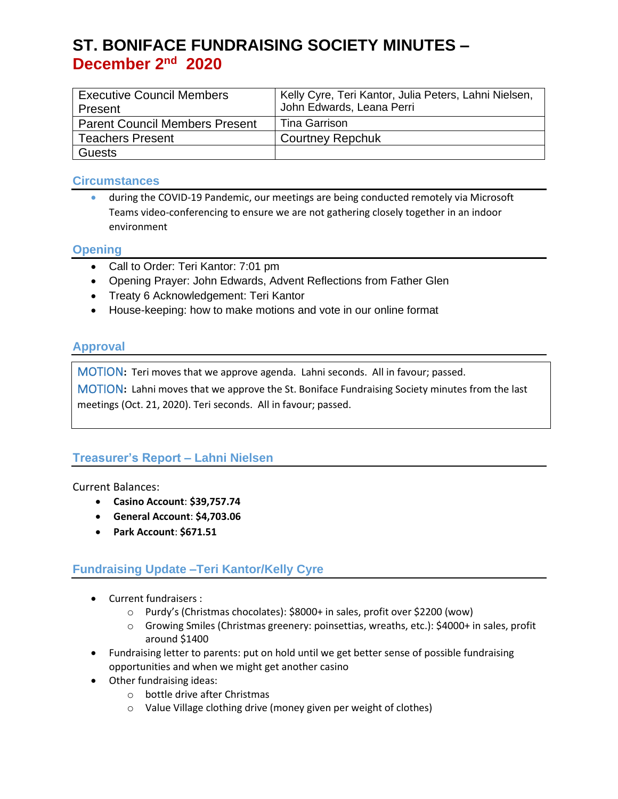| <b>Executive Council Members</b>      | Kelly Cyre, Teri Kantor, Julia Peters, Lahni Nielsen, |
|---------------------------------------|-------------------------------------------------------|
| Present                               | John Edwards, Leana Perri                             |
| <b>Parent Council Members Present</b> | Tina Garrison                                         |
| <b>Teachers Present</b>               | <b>Courtney Repchuk</b>                               |
| <b>Guests</b>                         |                                                       |

### **Circumstances**

• during the COVID-19 Pandemic, our meetings are being conducted remotely via Microsoft Teams video-conferencing to ensure we are not gathering closely together in an indoor environment

### **Opening**

- Call to Order: Teri Kantor: 7:01 pm
- Opening Prayer: John Edwards, Advent Reflections from Father Glen
- Treaty 6 Acknowledgement: Teri Kantor
- House-keeping: how to make motions and vote in our online format

## **Approval**

MOTION**:** Teri moves that we approve agenda. Lahni seconds. All in favour; passed.

MOTION**:** Lahni moves that we approve the St. Boniface Fundraising Society minutes from the last meetings (Oct. 21, 2020). Teri seconds. All in favour; passed.

## **Treasurer's Report – Lahni Nielsen**

Current Balances:

- **Casino Account**: **\$39,757.74**
- **General Account**: **\$4,703.06**
- **Park Account**: **\$671.51**

## **Fundraising Update –Teri Kantor/Kelly Cyre**

- Current fundraisers :
	- o Purdy's (Christmas chocolates): \$8000+ in sales, profit over \$2200 (wow)
	- o Growing Smiles (Christmas greenery: poinsettias, wreaths, etc.): \$4000+ in sales, profit around \$1400
- Fundraising letter to parents: put on hold until we get better sense of possible fundraising opportunities and when we might get another casino
- Other fundraising ideas:
	- o bottle drive after Christmas
	- o Value Village clothing drive (money given per weight of clothes)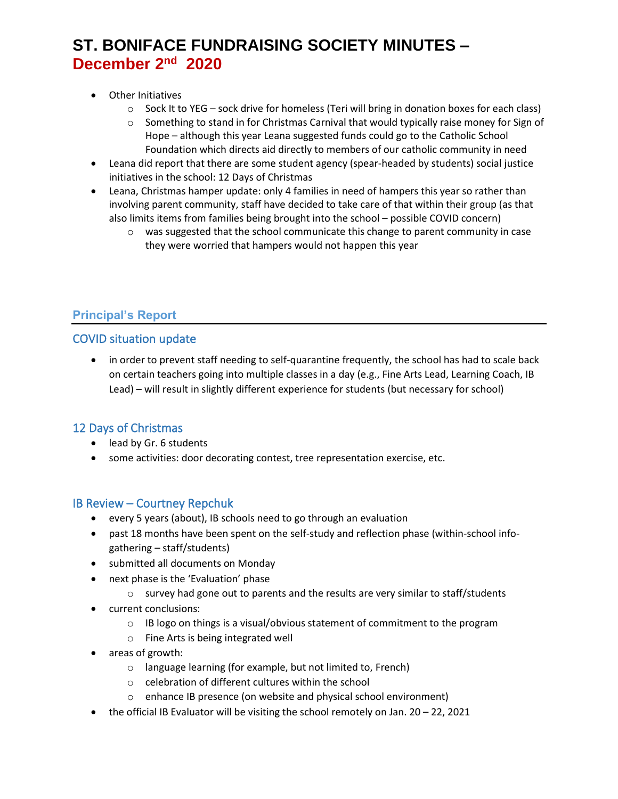- Other Initiatives
	- $\circ$  Sock It to YEG sock drive for homeless (Teri will bring in donation boxes for each class)
	- $\circ$  Something to stand in for Christmas Carnival that would typically raise money for Sign of Hope – although this year Leana suggested funds could go to the Catholic School Foundation which directs aid directly to members of our catholic community in need
- Leana did report that there are some student agency (spear-headed by students) social justice initiatives in the school: 12 Days of Christmas
- Leana, Christmas hamper update: only 4 families in need of hampers this year so rather than involving parent community, staff have decided to take care of that within their group (as that also limits items from families being brought into the school – possible COVID concern)
	- $\circ$  was suggested that the school communicate this change to parent community in case they were worried that hampers would not happen this year

## **Principal's Report**

## COVID situation update

• in order to prevent staff needing to self-quarantine frequently, the school has had to scale back on certain teachers going into multiple classes in a day (e.g., Fine Arts Lead, Learning Coach, IB Lead) – will result in slightly different experience for students (but necessary for school)

## 12 Days of Christmas

- lead by Gr. 6 students
- some activities: door decorating contest, tree representation exercise, etc.

## IB Review – Courtney Repchuk

- every 5 years (about), IB schools need to go through an evaluation
- past 18 months have been spent on the self-study and reflection phase (within-school infogathering – staff/students)
- submitted all documents on Monday
- next phase is the 'Evaluation' phase
	- $\circ$  survey had gone out to parents and the results are very similar to staff/students
- current conclusions:
	- $\circ$  IB logo on things is a visual/obvious statement of commitment to the program
	- o Fine Arts is being integrated well
- areas of growth:
	- o language learning (for example, but not limited to, French)
	- o celebration of different cultures within the school
	- o enhance IB presence (on website and physical school environment)
- the official IB Evaluator will be visiting the school remotely on Jan. 20 22, 2021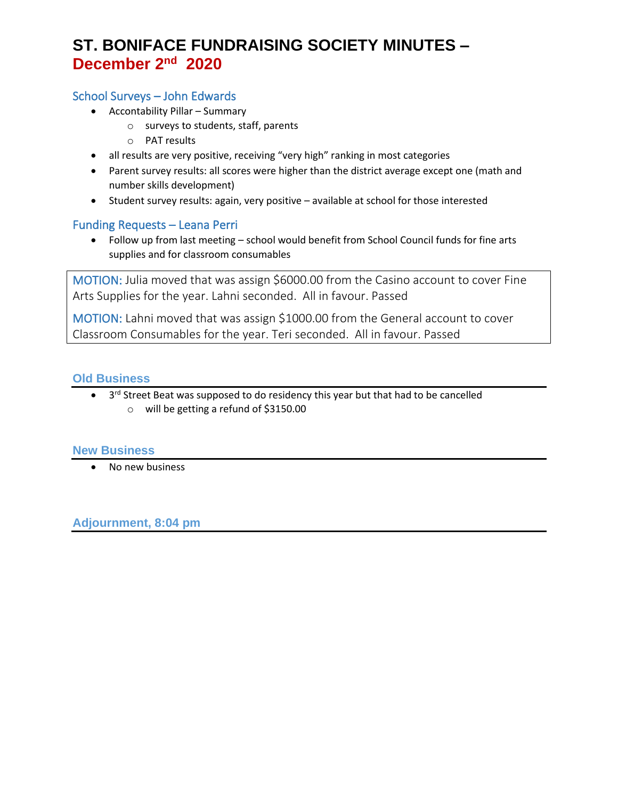## School Surveys – John Edwards

- Accontability Pillar Summary
	- o surveys to students, staff, parents
	- o PAT results
- all results are very positive, receiving "very high" ranking in most categories
- Parent survey results: all scores were higher than the district average except one (math and number skills development)
- Student survey results: again, very positive available at school for those interested

## Funding Requests – Leana Perri

• Follow up from last meeting – school would benefit from School Council funds for fine arts supplies and for classroom consumables

MOTION: Julia moved that was assign \$6000.00 from the Casino account to cover Fine Arts Supplies for the year. Lahni seconded. All in favour. Passed

MOTION: Lahni moved that was assign \$1000.00 from the General account to cover Classroom Consumables for the year. Teri seconded. All in favour. Passed

### **Old Business**

• 3<sup>rd</sup> Street Beat was supposed to do residency this year but that had to be cancelled o will be getting a refund of \$3150.00

#### **New Business**

• No new business

**Adjournment, 8:04 pm**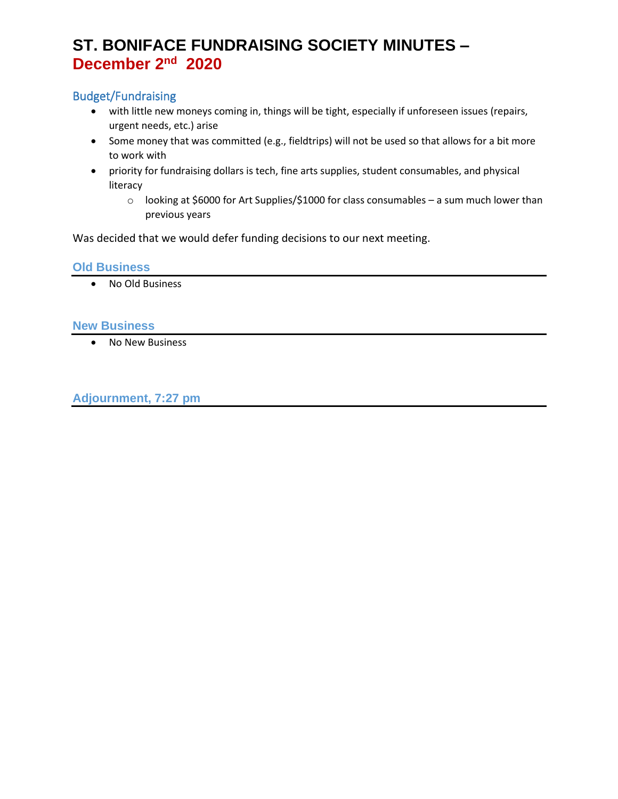# Budget/Fundraising

- with little new moneys coming in, things will be tight, especially if unforeseen issues (repairs, urgent needs, etc.) arise
- Some money that was committed (e.g., fieldtrips) will not be used so that allows for a bit more to work with
- priority for fundraising dollars is tech, fine arts supplies, student consumables, and physical literacy
	- o looking at \$6000 for Art Supplies/\$1000 for class consumables a sum much lower than previous years

Was decided that we would defer funding decisions to our next meeting.

#### **Old Business**

• No Old Business

#### **New Business**

• No New Business

**Adjournment, 7:27 pm**